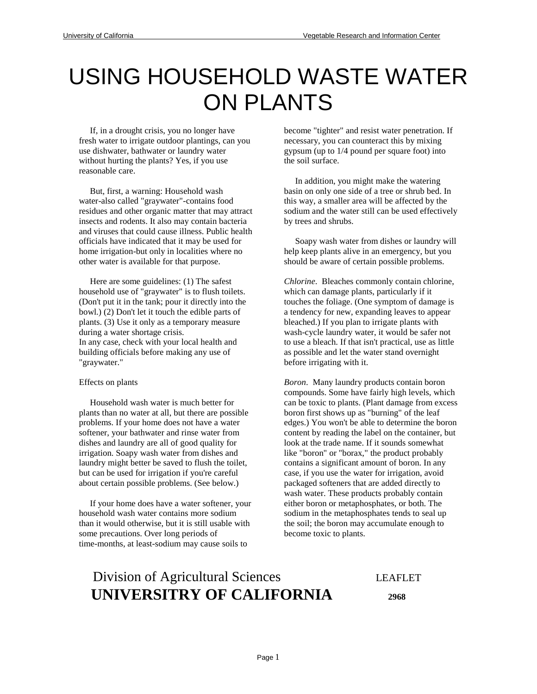## USING HOUSEHOLD WASTE WATER ON PLANTS

 If, in a drought crisis, you no longer have fresh water to irrigate outdoor plantings, can you use dishwater, bathwater or laundry water without hurting the plants? Yes, if you use reasonable care.

 But, first, a warning: Household wash water-also called "graywater"-contains food residues and other organic matter that may attract insects and rodents. It also may contain bacteria and viruses that could cause illness. Public health officials have indicated that it may be used for home irrigation-but only in localities where no other water is available for that purpose.

 Here are some guidelines: (1) The safest household use of "graywater" is to flush toilets. (Don't put it in the tank; pour it directly into the bowl.) (2) Don't let it touch the edible parts of plants. (3) Use it only as a temporary measure during a water shortage crisis. In any case, check with your local health and building officials before making any use of "graywater."

## Effects on plants

 Household wash water is much better for plants than no water at all, but there are possible problems. If your home does not have a water softener, your bathwater and rinse water from dishes and laundry are all of good quality for irrigation. Soapy wash water from dishes and laundry might better be saved to flush the toilet, but can be used for irrigation if you're careful about certain possible problems. (See below.)

 If your home does have a water softener, your household wash water contains more sodium than it would otherwise, but it is still usable with some precautions. Over long periods of time-months, at least-sodium may cause soils to

become "tighter" and resist water penetration. If necessary, you can counteract this by mixing gypsum (up to 1/4 pound per square foot) into the soil surface.

 In addition, you might make the watering basin on only one side of a tree or shrub bed. In this way, a smaller area will be affected by the sodium and the water still can be used effectively by trees and shrubs.

 Soapy wash water from dishes or laundry will help keep plants alive in an emergency, but you should be aware of certain possible problems.

*Chlorine*. Bleaches commonly contain chlorine, which can damage plants, particularly if it touches the foliage. (One symptom of damage is a tendency for new, expanding leaves to appear bleached.) If you plan to irrigate plants with wash-cycle laundry water, it would be safer not to use a bleach. If that isn't practical, use as little as possible and let the water stand overnight before irrigating with it.

*Boron*. Many laundry products contain boron compounds. Some have fairly high levels, which can be toxic to plants. (Plant damage from excess boron first shows up as "burning" of the leaf edges.) You won't be able to determine the boron content by reading the label on the container, but look at the trade name. If it sounds somewhat like "boron" or "borax," the product probably contains a significant amount of boron. In any case, if you use the water for irrigation, avoid packaged softeners that are added directly to wash water. These products probably contain either boron or metaphosphates, or both. The sodium in the metaphosphates tends to seal up the soil; the boron may accumulate enough to become toxic to plants.

## Division of Agricultural Sciences LEAFLET  **UNIVERSITRY OF CALIFORNIA 2968**